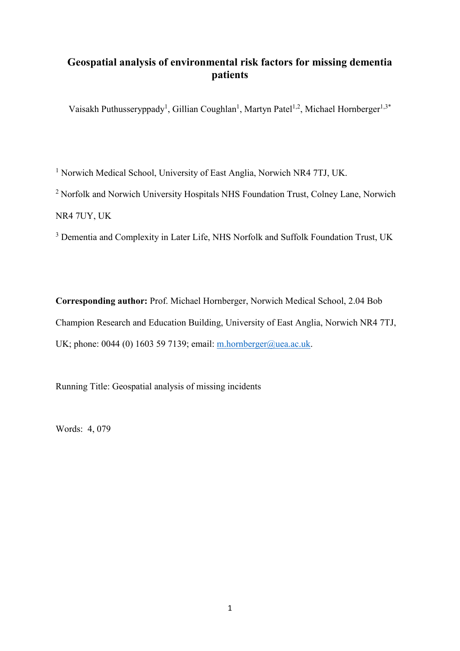# **Geospatial analysis of environmental risk factors for missing dementia patients**

Vaisakh Puthusseryppady<sup>1</sup>, Gillian Coughlan<sup>1</sup>, Martyn Patel<sup>1,2</sup>, Michael Hornberger<sup>1,3\*</sup>

<sup>1</sup> Norwich Medical School, University of East Anglia, Norwich NR4 7TJ, UK.

<sup>2</sup> Norfolk and Norwich University Hospitals NHS Foundation Trust, Colney Lane, Norwich NR4 7UY, UK

<sup>3</sup> Dementia and Complexity in Later Life, NHS Norfolk and Suffolk Foundation Trust, UK

**Corresponding author:** Prof. Michael Hornberger, Norwich Medical School, 2.04 Bob Champion Research and Education Building, University of East Anglia, Norwich NR4 7TJ, UK; phone: 0044 (0) 1603 59 7139; email: [m.hornberger@uea.ac.uk.](mailto:m.hornberger@uea.ac.uk)

Running Title: Geospatial analysis of missing incidents

Words: 4, 079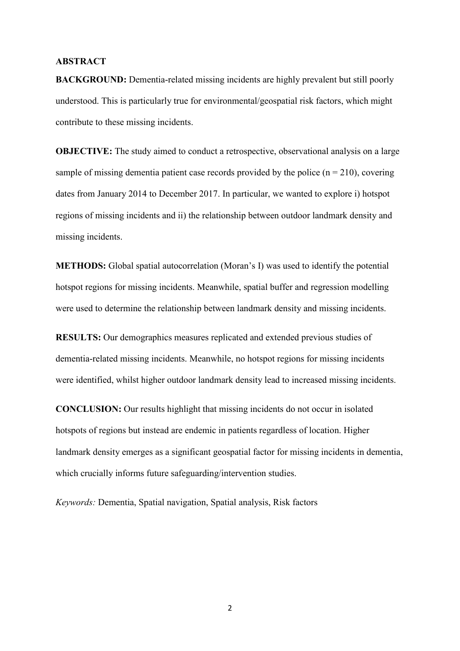#### **ABSTRACT**

**BACKGROUND:** Dementia-related missing incidents are highly prevalent but still poorly understood. This is particularly true for environmental/geospatial risk factors, which might contribute to these missing incidents.

**OBJECTIVE:** The study aimed to conduct a retrospective, observational analysis on a large sample of missing dementia patient case records provided by the police  $(n = 210)$ , covering dates from January 2014 to December 2017. In particular, we wanted to explore i) hotspot regions of missing incidents and ii) the relationship between outdoor landmark density and missing incidents.

**METHODS:** Global spatial autocorrelation (Moran's I) was used to identify the potential hotspot regions for missing incidents. Meanwhile, spatial buffer and regression modelling were used to determine the relationship between landmark density and missing incidents.

**RESULTS:** Our demographics measures replicated and extended previous studies of dementia-related missing incidents. Meanwhile, no hotspot regions for missing incidents were identified, whilst higher outdoor landmark density lead to increased missing incidents.

**CONCLUSION:** Our results highlight that missing incidents do not occur in isolated hotspots of regions but instead are endemic in patients regardless of location. Higher landmark density emerges as a significant geospatial factor for missing incidents in dementia, which crucially informs future safeguarding/intervention studies.

*Keywords:* Dementia, Spatial navigation, Spatial analysis, Risk factors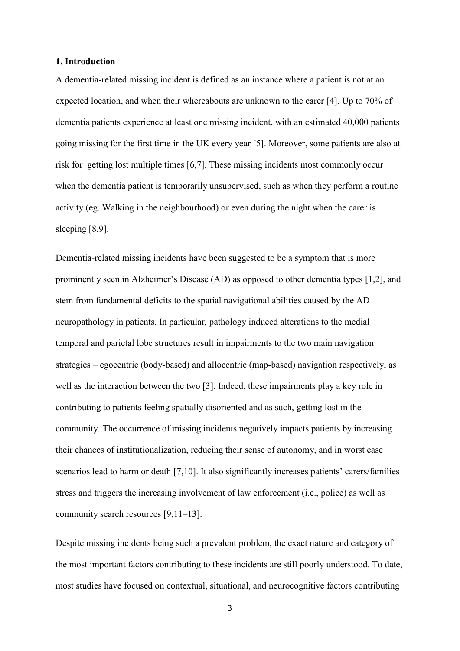#### **1. Introduction**

A dementia-related missing incident is defined as an instance where a patient is not at an expected location, and when their whereabouts are unknown to the carer [4]. Up to 70% of dementia patients experience at least one missing incident, with an estimated 40,000 patients going missing for the first time in the UK every year [5]. Moreover, some patients are also at risk for getting lost multiple times [6,7]. These missing incidents most commonly occur when the dementia patient is temporarily unsupervised, such as when they perform a routine activity (eg. Walking in the neighbourhood) or even during the night when the carer is sleeping [8,9].

Dementia-related missing incidents have been suggested to be a symptom that is more prominently seen in Alzheimer's Disease (AD) as opposed to other dementia types [1,2], and stem from fundamental deficits to the spatial navigational abilities caused by the AD neuropathology in patients. In particular, pathology induced alterations to the medial temporal and parietal lobe structures result in impairments to the two main navigation strategies – egocentric (body-based) and allocentric (map-based) navigation respectively, as well as the interaction between the two [3]. Indeed, these impairments play a key role in contributing to patients feeling spatially disoriented and as such, getting lost in the community. The occurrence of missing incidents negatively impacts patients by increasing their chances of institutionalization, reducing their sense of autonomy, and in worst case scenarios lead to harm or death [7,10]. It also significantly increases patients' carers/families stress and triggers the increasing involvement of law enforcement (i.e., police) as well as community search resources [9,11–13].

Despite missing incidents being such a prevalent problem, the exact nature and category of the most important factors contributing to these incidents are still poorly understood. To date, most studies have focused on contextual, situational, and neurocognitive factors contributing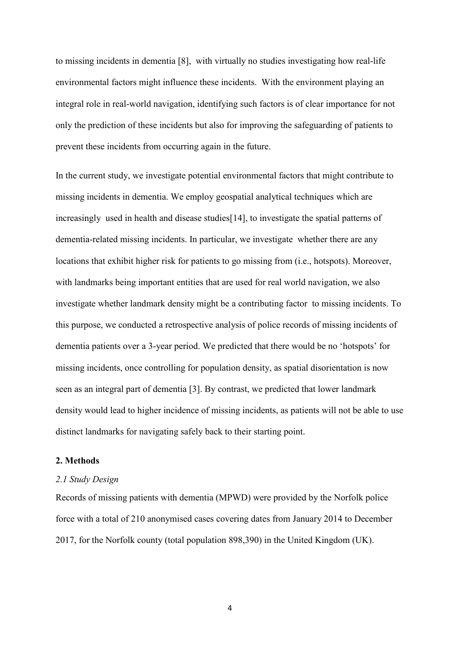to missing incidents in dementia [8], with virtually no studies investigating how real-life environmental factors might influence these incidents. With the environment playing an integral role in real-world navigation, identifying such factors is of clear importance for not only the prediction of these incidents but also for improving the safeguarding of patients to prevent these incidents from occurring again in the future.

In the current study, we investigate potential environmental factors that might contribute to missing incidents in dementia. We employ geospatial analytical techniques which are increasingly used in health and disease studies[14], to investigate the spatial patterns of dementia-related missing incidents. In particular, we investigate whether there are any locations that exhibit higher risk for patients to go missing from (i.e., hotspots). Moreover, with landmarks being important entities that are used for real world navigation, we also investigate whether landmark density might be a contributing factor to missing incidents. To this purpose, we conducted a retrospective analysis of police records of missing incidents of dementia patients over a 3-year period. We predicted that there would be no 'hotspots' for missing incidents, once controlling for population density, as spatial disorientation is now seen as an integral part of dementia [3]. By contrast, we predicted that lower landmark density would lead to higher incidence of missing incidents, as patients will not be able to use distinct landmarks for navigating safely back to their starting point.

### **2. Methods**

#### *2.1 Study Design*

Records of missing patients with dementia (MPWD) were provided by the Norfolk police force with a total of 210 anonymised cases covering dates from January 2014 to December 2017, for the Norfolk county (total population 898,390) in the United Kingdom (UK).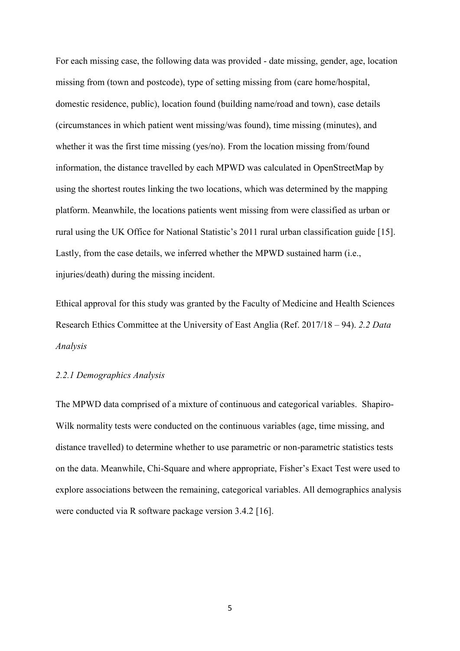For each missing case, the following data was provided - date missing, gender, age, location missing from (town and postcode), type of setting missing from (care home/hospital, domestic residence, public), location found (building name/road and town), case details (circumstances in which patient went missing/was found), time missing (minutes), and whether it was the first time missing (yes/no). From the location missing from/found information, the distance travelled by each MPWD was calculated in OpenStreetMap by using the shortest routes linking the two locations, which was determined by the mapping platform. Meanwhile, the locations patients went missing from were classified as urban or rural using the UK Office for National Statistic's 2011 rural urban classification guide [15]. Lastly, from the case details, we inferred whether the MPWD sustained harm (i.e., injuries/death) during the missing incident.

Ethical approval for this study was granted by the Faculty of Medicine and Health Sciences Research Ethics Committee at the University of East Anglia (Ref. 2017/18 – 94). *2.2 Data Analysis* 

## *2.2.1 Demographics Analysis*

The MPWD data comprised of a mixture of continuous and categorical variables. Shapiro-Wilk normality tests were conducted on the continuous variables (age, time missing, and distance travelled) to determine whether to use parametric or non-parametric statistics tests on the data. Meanwhile, Chi-Square and where appropriate, Fisher's Exact Test were used to explore associations between the remaining, categorical variables. All demographics analysis were conducted via R software package version 3.4.2 [16].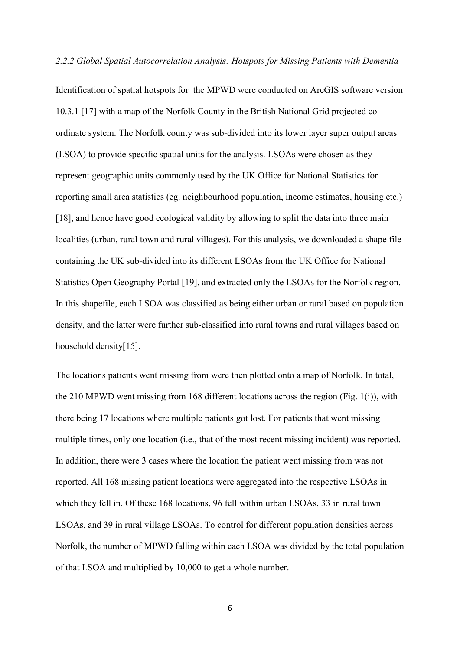#### *2.2.2 Global Spatial Autocorrelation Analysis: Hotspots for Missing Patients with Dementia*

Identification of spatial hotspots for the MPWD were conducted on ArcGIS software version 10.3.1 [17] with a map of the Norfolk County in the British National Grid projected coordinate system. The Norfolk county was sub-divided into its lower layer super output areas (LSOA) to provide specific spatial units for the analysis. LSOAs were chosen as they represent geographic units commonly used by the UK Office for National Statistics for reporting small area statistics (eg. neighbourhood population, income estimates, housing etc.) [18], and hence have good ecological validity by allowing to split the data into three main localities (urban, rural town and rural villages). For this analysis, we downloaded a shape file containing the UK sub-divided into its different LSOAs from the UK Office for National Statistics Open Geography Portal [19], and extracted only the LSOAs for the Norfolk region. In this shapefile, each LSOA was classified as being either urban or rural based on population density, and the latter were further sub-classified into rural towns and rural villages based on household density[15].

The locations patients went missing from were then plotted onto a map of Norfolk. In total, the 210 MPWD went missing from 168 different locations across the region (Fig. 1(i)), with there being 17 locations where multiple patients got lost. For patients that went missing multiple times, only one location (i.e., that of the most recent missing incident) was reported. In addition, there were 3 cases where the location the patient went missing from was not reported. All 168 missing patient locations were aggregated into the respective LSOAs in which they fell in. Of these 168 locations, 96 fell within urban LSOAs, 33 in rural town LSOAs, and 39 in rural village LSOAs. To control for different population densities across Norfolk, the number of MPWD falling within each LSOA was divided by the total population of that LSOA and multiplied by 10,000 to get a whole number.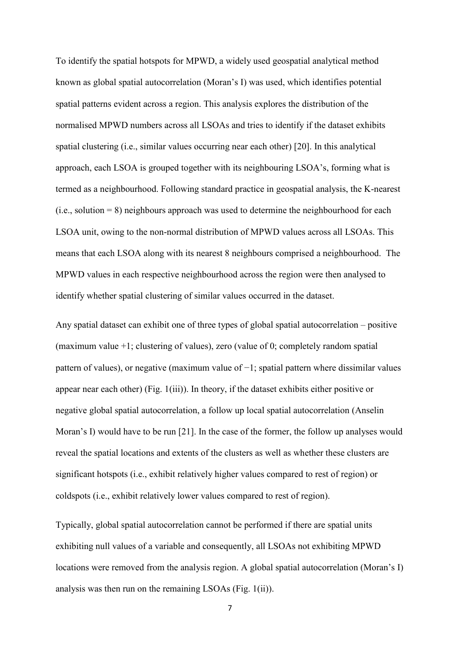To identify the spatial hotspots for MPWD, a widely used geospatial analytical method known as global spatial autocorrelation (Moran's I) was used, which identifies potential spatial patterns evident across a region. This analysis explores the distribution of the normalised MPWD numbers across all LSOAs and tries to identify if the dataset exhibits spatial clustering (i.e., similar values occurring near each other) [20]. In this analytical approach, each LSOA is grouped together with its neighbouring LSOA's, forming what is termed as a neighbourhood. Following standard practice in geospatial analysis, the K-nearest  $(i.e., solution = 8)$  neighbours approach was used to determine the neighbourhood for each LSOA unit, owing to the non-normal distribution of MPWD values across all LSOAs. This means that each LSOA along with its nearest 8 neighbours comprised a neighbourhood. The MPWD values in each respective neighbourhood across the region were then analysed to identify whether spatial clustering of similar values occurred in the dataset.

Any spatial dataset can exhibit one of three types of global spatial autocorrelation – positive (maximum value +1; clustering of values), zero (value of 0; completely random spatial pattern of values), or negative (maximum value of −1; spatial pattern where dissimilar values appear near each other) (Fig. 1(iii)). In theory, if the dataset exhibits either positive or negative global spatial autocorrelation, a follow up local spatial autocorrelation (Anselin Moran's I) would have to be run [21]. In the case of the former, the follow up analyses would reveal the spatial locations and extents of the clusters as well as whether these clusters are significant hotspots (i.e., exhibit relatively higher values compared to rest of region) or coldspots (i.e., exhibit relatively lower values compared to rest of region).

Typically, global spatial autocorrelation cannot be performed if there are spatial units exhibiting null values of a variable and consequently, all LSOAs not exhibiting MPWD locations were removed from the analysis region. A global spatial autocorrelation (Moran's I) analysis was then run on the remaining LSOAs (Fig. 1(ii)).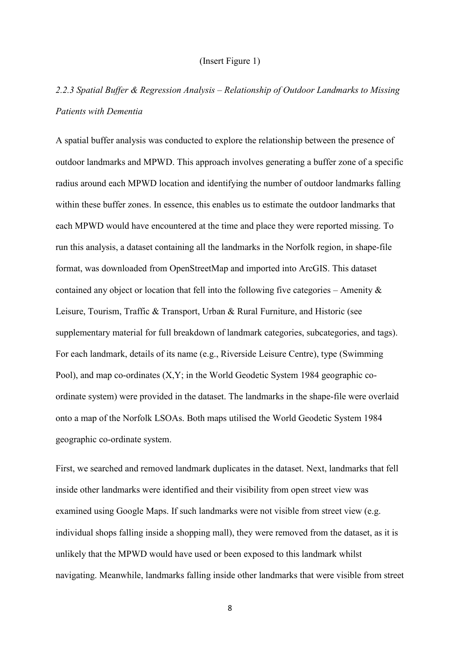#### (Insert Figure 1)

# *2.2.3 Spatial Buffer & Regression Analysis – Relationship of Outdoor Landmarks to Missing Patients with Dementia*

A spatial buffer analysis was conducted to explore the relationship between the presence of outdoor landmarks and MPWD. This approach involves generating a buffer zone of a specific radius around each MPWD location and identifying the number of outdoor landmarks falling within these buffer zones. In essence, this enables us to estimate the outdoor landmarks that each MPWD would have encountered at the time and place they were reported missing. To run this analysis, a dataset containing all the landmarks in the Norfolk region, in shape-file format, was downloaded from OpenStreetMap and imported into ArcGIS. This dataset contained any object or location that fell into the following five categories – Amenity  $\&$ Leisure, Tourism, Traffic & Transport, Urban & Rural Furniture, and Historic (see supplementary material for full breakdown of landmark categories, subcategories, and tags). For each landmark, details of its name (e.g., Riverside Leisure Centre), type (Swimming Pool), and map co-ordinates (X,Y; in the World Geodetic System 1984 geographic coordinate system) were provided in the dataset. The landmarks in the shape-file were overlaid onto a map of the Norfolk LSOAs. Both maps utilised the World Geodetic System 1984 geographic co-ordinate system.

First, we searched and removed landmark duplicates in the dataset. Next, landmarks that fell inside other landmarks were identified and their visibility from open street view was examined using Google Maps. If such landmarks were not visible from street view (e.g. individual shops falling inside a shopping mall), they were removed from the dataset, as it is unlikely that the MPWD would have used or been exposed to this landmark whilst navigating. Meanwhile, landmarks falling inside other landmarks that were visible from street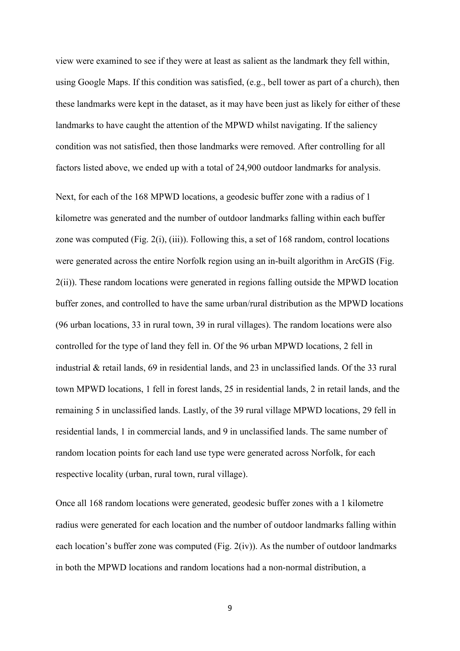view were examined to see if they were at least as salient as the landmark they fell within, using Google Maps. If this condition was satisfied, (e.g., bell tower as part of a church), then these landmarks were kept in the dataset, as it may have been just as likely for either of these landmarks to have caught the attention of the MPWD whilst navigating. If the saliency condition was not satisfied, then those landmarks were removed. After controlling for all factors listed above, we ended up with a total of 24,900 outdoor landmarks for analysis.

Next, for each of the 168 MPWD locations, a geodesic buffer zone with a radius of 1 kilometre was generated and the number of outdoor landmarks falling within each buffer zone was computed (Fig. 2(i), (iii)). Following this, a set of 168 random, control locations were generated across the entire Norfolk region using an in-built algorithm in ArcGIS (Fig. 2(ii)). These random locations were generated in regions falling outside the MPWD location buffer zones, and controlled to have the same urban/rural distribution as the MPWD locations (96 urban locations, 33 in rural town, 39 in rural villages). The random locations were also controlled for the type of land they fell in. Of the 96 urban MPWD locations, 2 fell in industrial & retail lands, 69 in residential lands, and 23 in unclassified lands. Of the 33 rural town MPWD locations, 1 fell in forest lands, 25 in residential lands, 2 in retail lands, and the remaining 5 in unclassified lands. Lastly, of the 39 rural village MPWD locations, 29 fell in residential lands, 1 in commercial lands, and 9 in unclassified lands. The same number of random location points for each land use type were generated across Norfolk, for each respective locality (urban, rural town, rural village).

Once all 168 random locations were generated, geodesic buffer zones with a 1 kilometre radius were generated for each location and the number of outdoor landmarks falling within each location's buffer zone was computed (Fig. 2(iv)). As the number of outdoor landmarks in both the MPWD locations and random locations had a non-normal distribution, a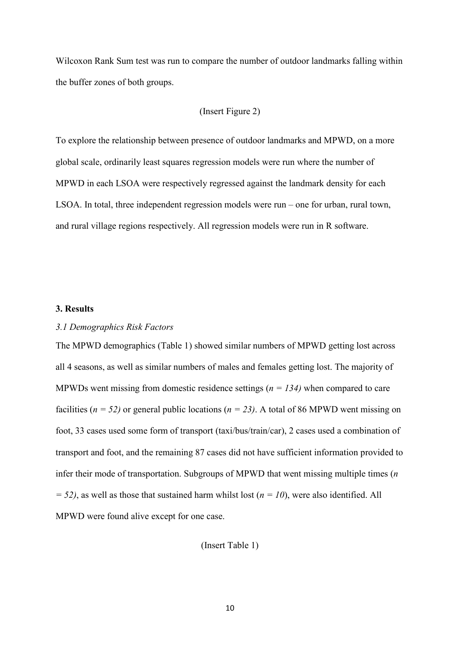Wilcoxon Rank Sum test was run to compare the number of outdoor landmarks falling within the buffer zones of both groups.

#### (Insert Figure 2)

To explore the relationship between presence of outdoor landmarks and MPWD, on a more global scale, ordinarily least squares regression models were run where the number of MPWD in each LSOA were respectively regressed against the landmark density for each LSOA. In total, three independent regression models were run – one for urban, rural town, and rural village regions respectively. All regression models were run in R software.

## **3. Results**

# *3.1 Demographics Risk Factors*

The MPWD demographics (Table 1) showed similar numbers of MPWD getting lost across all 4 seasons, as well as similar numbers of males and females getting lost. The majority of MPWDs went missing from domestic residence settings (*n = 134)* when compared to care facilities ( $n = 52$ ) or general public locations ( $n = 23$ ). A total of 86 MPWD went missing on foot, 33 cases used some form of transport (taxi/bus/train/car), 2 cases used a combination of transport and foot, and the remaining 87 cases did not have sufficient information provided to infer their mode of transportation. Subgroups of MPWD that went missing multiple times (*n*   $= 52$ ), as well as those that sustained harm whilst lost ( $n = 10$ ), were also identified. All MPWD were found alive except for one case.

(Insert Table 1)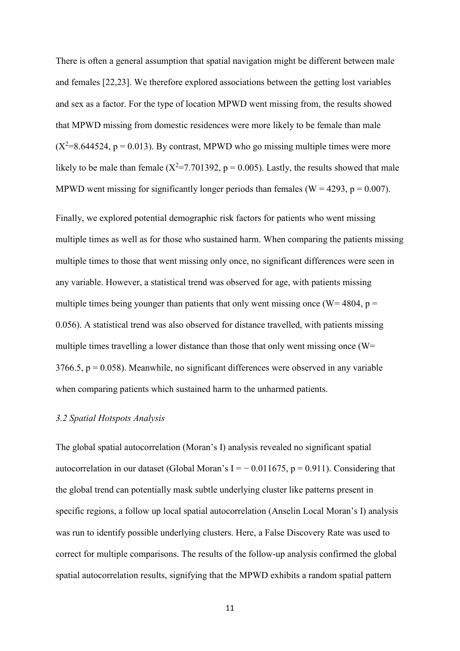There is often a general assumption that spatial navigation might be different between male and females [22,23]. We therefore explored associations between the getting lost variables and sex as a factor. For the type of location MPWD went missing from, the results showed that MPWD missing from domestic residences were more likely to be female than male  $(X^2=8.644524, p = 0.013)$ . By contrast, MPWD who go missing multiple times were more likely to be male than female ( $X^2$ =7.701392, p = 0.005). Lastly, the results showed that male MPWD went missing for significantly longer periods than females ( $W = 4293$ ,  $p = 0.007$ ).

Finally, we explored potential demographic risk factors for patients who went missing multiple times as well as for those who sustained harm. When comparing the patients missing multiple times to those that went missing only once, no significant differences were seen in any variable. However, a statistical trend was observed for age, with patients missing multiple times being younger than patients that only went missing once (W= 4804,  $p =$ 0.056). A statistical trend was also observed for distance travelled, with patients missing multiple times travelling a lower distance than those that only went missing once (W=  $3766.5$ ,  $p = 0.058$ ). Meanwhile, no significant differences were observed in any variable when comparing patients which sustained harm to the unharmed patients.

#### *3.2 Spatial Hotspots Analysis*

The global spatial autocorrelation (Moran's I) analysis revealed no significant spatial autocorrelation in our dataset (Global Moran's I =  $-$  0.011675, p = 0.911). Considering that the global trend can potentially mask subtle underlying cluster like patterns present in specific regions, a follow up local spatial autocorrelation (Anselin Local Moran's I) analysis was run to identify possible underlying clusters. Here, a False Discovery Rate was used to correct for multiple comparisons. The results of the follow-up analysis confirmed the global spatial autocorrelation results, signifying that the MPWD exhibits a random spatial pattern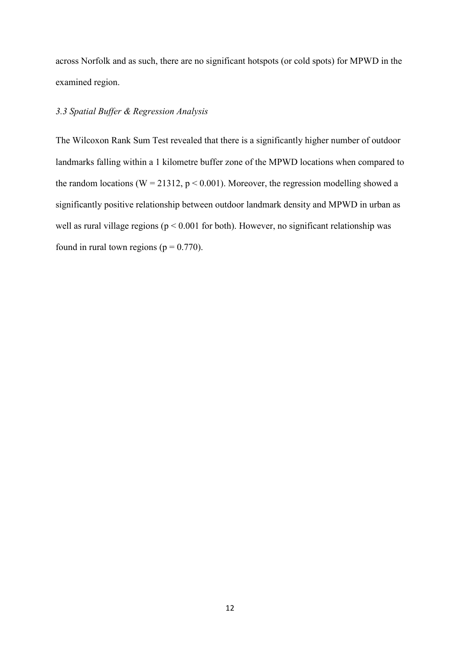across Norfolk and as such, there are no significant hotspots (or cold spots) for MPWD in the examined region.

# *3.3 Spatial Buffer & Regression Analysis*

The Wilcoxon Rank Sum Test revealed that there is a significantly higher number of outdoor landmarks falling within a 1 kilometre buffer zone of the MPWD locations when compared to the random locations ( $W = 21312$ ,  $p < 0.001$ ). Moreover, the regression modelling showed a significantly positive relationship between outdoor landmark density and MPWD in urban as well as rural village regions ( $p \le 0.001$  for both). However, no significant relationship was found in rural town regions ( $p = 0.770$ ).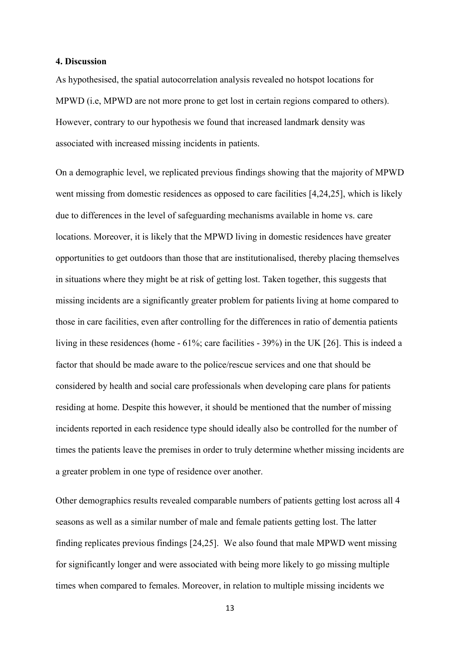#### **4. Discussion**

As hypothesised, the spatial autocorrelation analysis revealed no hotspot locations for MPWD (i.e, MPWD are not more prone to get lost in certain regions compared to others). However, contrary to our hypothesis we found that increased landmark density was associated with increased missing incidents in patients.

On a demographic level, we replicated previous findings showing that the majority of MPWD went missing from domestic residences as opposed to care facilities [4,24,25], which is likely due to differences in the level of safeguarding mechanisms available in home vs. care locations. Moreover, it is likely that the MPWD living in domestic residences have greater opportunities to get outdoors than those that are institutionalised, thereby placing themselves in situations where they might be at risk of getting lost. Taken together, this suggests that missing incidents are a significantly greater problem for patients living at home compared to those in care facilities, even after controlling for the differences in ratio of dementia patients living in these residences (home - 61%; care facilities - 39%) in the UK [26]. This is indeed a factor that should be made aware to the police/rescue services and one that should be considered by health and social care professionals when developing care plans for patients residing at home. Despite this however, it should be mentioned that the number of missing incidents reported in each residence type should ideally also be controlled for the number of times the patients leave the premises in order to truly determine whether missing incidents are a greater problem in one type of residence over another.

Other demographics results revealed comparable numbers of patients getting lost across all 4 seasons as well as a similar number of male and female patients getting lost. The latter finding replicates previous findings [24,25]. We also found that male MPWD went missing for significantly longer and were associated with being more likely to go missing multiple times when compared to females. Moreover, in relation to multiple missing incidents we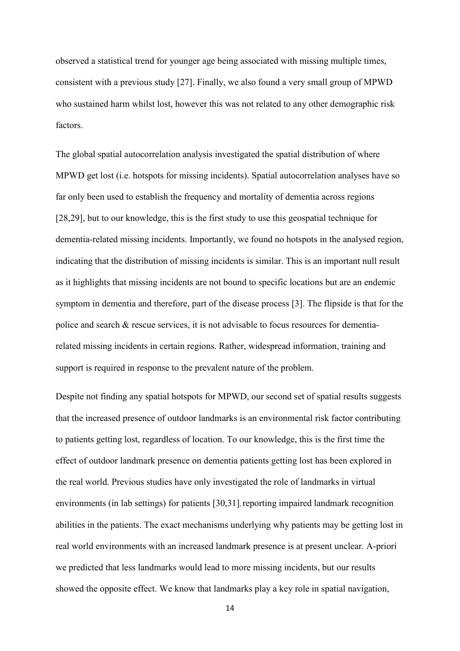observed a statistical trend for younger age being associated with missing multiple times, consistent with a previous study [27]. Finally, we also found a very small group of MPWD who sustained harm whilst lost, however this was not related to any other demographic risk factors.

The global spatial autocorrelation analysis investigated the spatial distribution of where MPWD get lost (i.e. hotspots for missing incidents). Spatial autocorrelation analyses have so far only been used to establish the frequency and mortality of dementia across regions [28,29], but to our knowledge, this is the first study to use this geospatial technique for dementia-related missing incidents. Importantly, we found no hotspots in the analysed region, indicating that the distribution of missing incidents is similar. This is an important null result as it highlights that missing incidents are not bound to specific locations but are an endemic symptom in dementia and therefore, part of the disease process [3]. The flipside is that for the police and search & rescue services, it is not advisable to focus resources for dementiarelated missing incidents in certain regions. Rather, widespread information, training and support is required in response to the prevalent nature of the problem.

Despite not finding any spatial hotspots for MPWD, our second set of spatial results suggests that the increased presence of outdoor landmarks is an environmental risk factor contributing to patients getting lost, regardless of location. To our knowledge, this is the first time the effect of outdoor landmark presence on dementia patients getting lost has been explored in the real world. Previous studies have only investigated the role of landmarks in virtual environments (in lab settings) for patients [30,31], reporting impaired landmark recognition abilities in the patients. The exact mechanisms underlying why patients may be getting lost in real world environments with an increased landmark presence is at present unclear. A-priori we predicted that less landmarks would lead to more missing incidents, but our results showed the opposite effect. We know that landmarks play a key role in spatial navigation,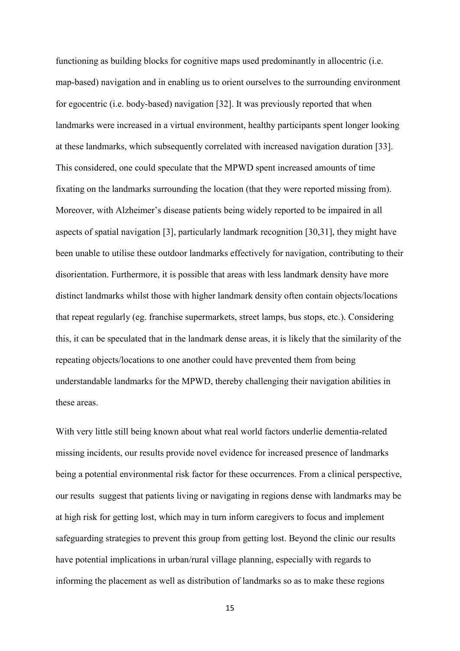functioning as building blocks for cognitive maps used predominantly in allocentric (i.e. map-based) navigation and in enabling us to orient ourselves to the surrounding environment for egocentric (i.e. body-based) navigation [32]. It was previously reported that when landmarks were increased in a virtual environment, healthy participants spent longer looking at these landmarks, which subsequently correlated with increased navigation duration [33]. This considered, one could speculate that the MPWD spent increased amounts of time fixating on the landmarks surrounding the location (that they were reported missing from). Moreover, with Alzheimer's disease patients being widely reported to be impaired in all aspects of spatial navigation [3], particularly landmark recognition [30,31], they might have been unable to utilise these outdoor landmarks effectively for navigation, contributing to their disorientation. Furthermore, it is possible that areas with less landmark density have more distinct landmarks whilst those with higher landmark density often contain objects/locations that repeat regularly (eg. franchise supermarkets, street lamps, bus stops, etc.). Considering this, it can be speculated that in the landmark dense areas, it is likely that the similarity of the repeating objects/locations to one another could have prevented them from being understandable landmarks for the MPWD, thereby challenging their navigation abilities in these areas.

With very little still being known about what real world factors underlie dementia-related missing incidents, our results provide novel evidence for increased presence of landmarks being a potential environmental risk factor for these occurrences. From a clinical perspective, our results suggest that patients living or navigating in regions dense with landmarks may be at high risk for getting lost, which may in turn inform caregivers to focus and implement safeguarding strategies to prevent this group from getting lost. Beyond the clinic our results have potential implications in urban/rural village planning, especially with regards to informing the placement as well as distribution of landmarks so as to make these regions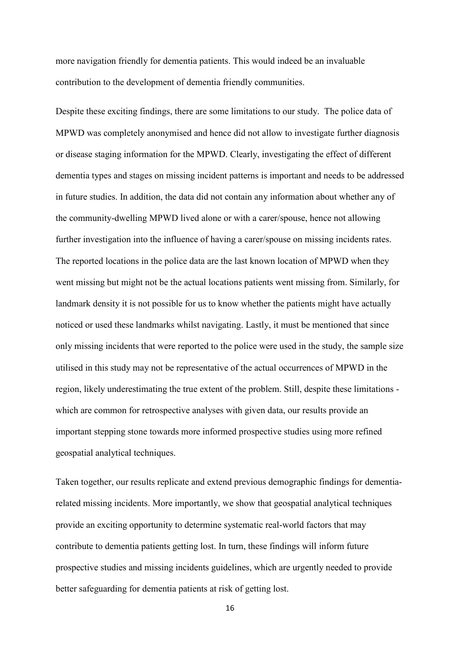more navigation friendly for dementia patients. This would indeed be an invaluable contribution to the development of dementia friendly communities.

Despite these exciting findings, there are some limitations to our study. The police data of MPWD was completely anonymised and hence did not allow to investigate further diagnosis or disease staging information for the MPWD. Clearly, investigating the effect of different dementia types and stages on missing incident patterns is important and needs to be addressed in future studies. In addition, the data did not contain any information about whether any of the community-dwelling MPWD lived alone or with a carer/spouse, hence not allowing further investigation into the influence of having a carer/spouse on missing incidents rates. The reported locations in the police data are the last known location of MPWD when they went missing but might not be the actual locations patients went missing from. Similarly, for landmark density it is not possible for us to know whether the patients might have actually noticed or used these landmarks whilst navigating. Lastly, it must be mentioned that since only missing incidents that were reported to the police were used in the study, the sample size utilised in this study may not be representative of the actual occurrences of MPWD in the region, likely underestimating the true extent of the problem. Still, despite these limitations which are common for retrospective analyses with given data, our results provide an important stepping stone towards more informed prospective studies using more refined geospatial analytical techniques.

Taken together, our results replicate and extend previous demographic findings for dementiarelated missing incidents. More importantly, we show that geospatial analytical techniques provide an exciting opportunity to determine systematic real-world factors that may contribute to dementia patients getting lost. In turn, these findings will inform future prospective studies and missing incidents guidelines, which are urgently needed to provide better safeguarding for dementia patients at risk of getting lost.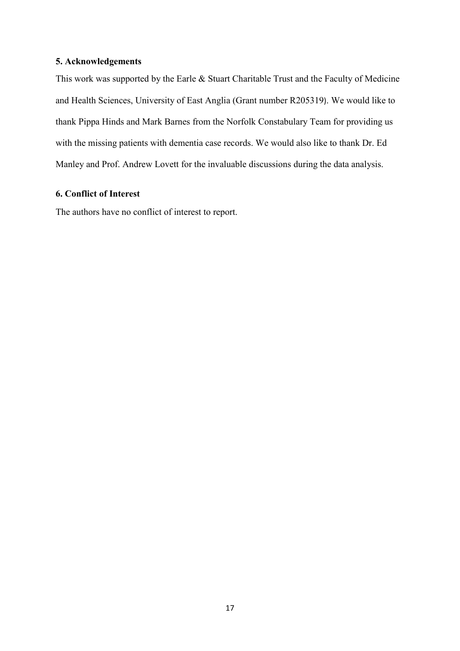# **5. Acknowledgements**

This work was supported by the Earle & Stuart Charitable Trust and the Faculty of Medicine and Health Sciences, University of East Anglia (Grant number R205319). We would like to thank Pippa Hinds and Mark Barnes from the Norfolk Constabulary Team for providing us with the missing patients with dementia case records. We would also like to thank Dr. Ed Manley and Prof. Andrew Lovett for the invaluable discussions during the data analysis.

# **6. Conflict of Interest**

The authors have no conflict of interest to report.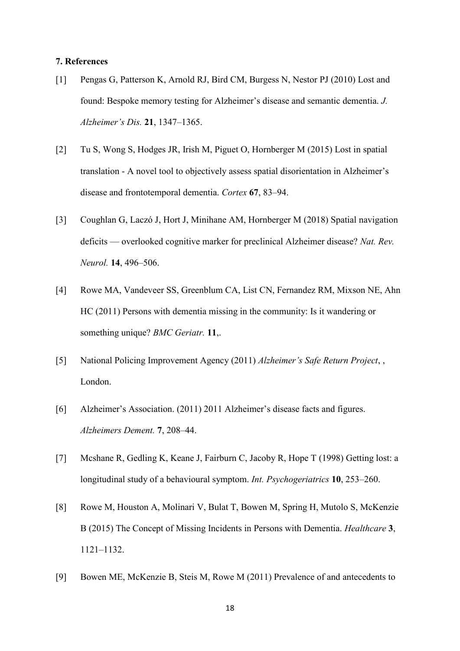#### **7. References**

- [1] Pengas G, Patterson K, Arnold RJ, Bird CM, Burgess N, Nestor PJ (2010) Lost and found: Bespoke memory testing for Alzheimer's disease and semantic dementia. *J. Alzheimer's Dis.* **21**, 1347–1365.
- [2] Tu S, Wong S, Hodges JR, Irish M, Piguet O, Hornberger M (2015) Lost in spatial translation - A novel tool to objectively assess spatial disorientation in Alzheimer's disease and frontotemporal dementia. *Cortex* **67**, 83–94.
- [3] Coughlan G, Laczó J, Hort J, Minihane AM, Hornberger M (2018) Spatial navigation deficits — overlooked cognitive marker for preclinical Alzheimer disease? *Nat. Rev. Neurol.* **14**, 496–506.
- [4] Rowe MA, Vandeveer SS, Greenblum CA, List CN, Fernandez RM, Mixson NE, Ahn HC (2011) Persons with dementia missing in the community: Is it wandering or something unique? *BMC Geriatr.* **11**,.
- [5] National Policing Improvement Agency (2011) *Alzheimer's Safe Return Project*, , London.
- [6] Alzheimer's Association. (2011) 2011 Alzheimer's disease facts and figures. *Alzheimers Dement.* **7**, 208–44.
- [7] Mcshane R, Gedling K, Keane J, Fairburn C, Jacoby R, Hope T (1998) Getting lost: a longitudinal study of a behavioural symptom. *Int. Psychogeriatrics* **10**, 253–260.
- [8] Rowe M, Houston A, Molinari V, Bulat T, Bowen M, Spring H, Mutolo S, McKenzie B (2015) The Concept of Missing Incidents in Persons with Dementia. *Healthcare* **3**, 1121–1132.
- [9] Bowen ME, McKenzie B, Steis M, Rowe M (2011) Prevalence of and antecedents to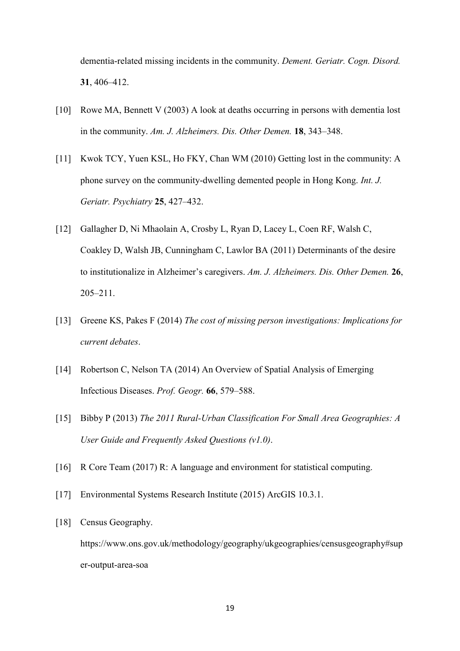dementia-related missing incidents in the community. *Dement. Geriatr. Cogn. Disord.* **31**, 406–412.

- [10] Rowe MA, Bennett V (2003) A look at deaths occurring in persons with dementia lost in the community. *Am. J. Alzheimers. Dis. Other Demen.* **18**, 343–348.
- [11] Kwok TCY, Yuen KSL, Ho FKY, Chan WM (2010) Getting lost in the community: A phone survey on the community-dwelling demented people in Hong Kong. *Int. J. Geriatr. Psychiatry* **25**, 427–432.
- [12] Gallagher D, Ni Mhaolain A, Crosby L, Ryan D, Lacey L, Coen RF, Walsh C, Coakley D, Walsh JB, Cunningham C, Lawlor BA (2011) Determinants of the desire to institutionalize in Alzheimer's caregivers. *Am. J. Alzheimers. Dis. Other Demen.* **26**, 205–211.
- [13] Greene KS, Pakes F (2014) *The cost of missing person investigations: Implications for current debates*.
- [14] Robertson C, Nelson TA (2014) An Overview of Spatial Analysis of Emerging Infectious Diseases. *Prof. Geogr.* **66**, 579–588.
- [15] Bibby P (2013) *The 2011 Rural-Urban Classification For Small Area Geographies: A User Guide and Frequently Asked Questions (v1.0)*.
- [16] R Core Team (2017) R: A language and environment for statistical computing.
- [17] Environmental Systems Research Institute (2015) ArcGIS 10.3.1.
- [18] Census Geography.

https://www.ons.gov.uk/methodology/geography/ukgeographies/censusgeography#sup er-output-area-soa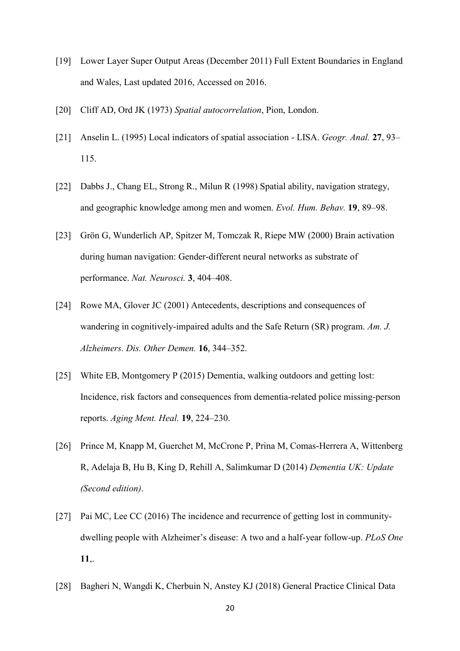- [19] Lower Layer Super Output Areas (December 2011) Full Extent Boundaries in England and Wales, Last updated 2016, Accessed on 2016.
- [20] Cliff AD, Ord JK (1973) *Spatial autocorrelation*, Pion, London.
- [21] Anselin L. (1995) Local indicators of spatial association LISA. *Geogr. Anal.* **27**, 93– 115.
- [22] Dabbs J., Chang EL, Strong R., Milun R (1998) Spatial ability, navigation strategy, and geographic knowledge among men and women. *Evol. Hum. Behav.* **19**, 89–98.
- [23] Grön G, Wunderlich AP, Spitzer M, Tomczak R, Riepe MW (2000) Brain activation during human navigation: Gender-different neural networks as substrate of performance. *Nat. Neurosci.* **3**, 404–408.
- [24] Rowe MA, Glover JC (2001) Antecedents, descriptions and consequences of wandering in cognitively-impaired adults and the Safe Return (SR) program. *Am. J. Alzheimers. Dis. Other Demen.* **16**, 344–352.
- [25] White EB, Montgomery P (2015) Dementia, walking outdoors and getting lost: Incidence, risk factors and consequences from dementia-related police missing-person reports. *Aging Ment. Heal.* **19**, 224–230.
- [26] Prince M, Knapp M, Guerchet M, McCrone P, Prina M, Comas-Herrera A, Wittenberg R, Adelaja B, Hu B, King D, Rehill A, Salimkumar D (2014) *Dementia UK: Update (Second edition)*.
- [27] Pai MC, Lee CC (2016) The incidence and recurrence of getting lost in communitydwelling people with Alzheimer's disease: A two and a half-year follow-up. *PLoS One* **11**,.
- [28] Bagheri N, Wangdi K, Cherbuin N, Anstey KJ (2018) General Practice Clinical Data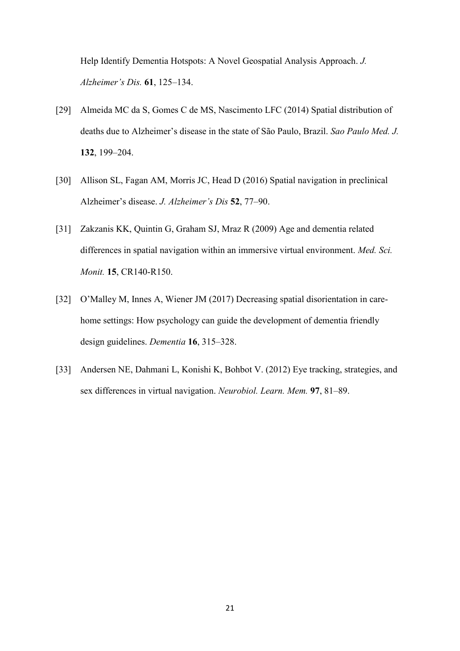Help Identify Dementia Hotspots: A Novel Geospatial Analysis Approach. *J. Alzheimer's Dis.* **61**, 125–134.

- [29] Almeida MC da S, Gomes C de MS, Nascimento LFC (2014) Spatial distribution of deaths due to Alzheimer's disease in the state of São Paulo, Brazil. *Sao Paulo Med. J.* **132**, 199–204.
- [30] Allison SL, Fagan AM, Morris JC, Head D (2016) Spatial navigation in preclinical Alzheimer's disease. *J. Alzheimer's Dis* **52**, 77–90.
- [31] Zakzanis KK, Quintin G, Graham SJ, Mraz R (2009) Age and dementia related differences in spatial navigation within an immersive virtual environment. *Med. Sci. Monit.* **15**, CR140-R150.
- [32] O'Malley M, Innes A, Wiener JM (2017) Decreasing spatial disorientation in carehome settings: How psychology can guide the development of dementia friendly design guidelines. *Dementia* **16**, 315–328.
- [33] Andersen NE, Dahmani L, Konishi K, Bohbot V. (2012) Eye tracking, strategies, and sex differences in virtual navigation. *Neurobiol. Learn. Mem.* **97**, 81–89.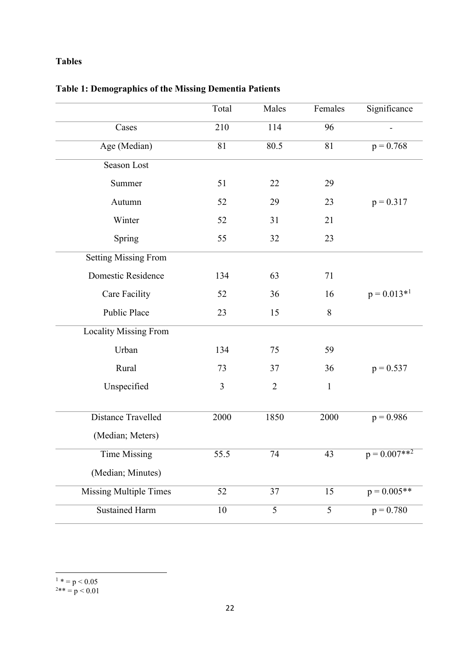# **Tables**

|                               | Total | Males          | Females      | Significance     |
|-------------------------------|-------|----------------|--------------|------------------|
| Cases                         | 210   | 114            | 96           |                  |
| Age (Median)                  | 81    | 80.5           | 81           | $p = 0.768$      |
| Season Lost                   |       |                |              |                  |
| Summer                        | 51    | 22             | 29           |                  |
| Autumn                        | 52    | 29             | 23           | $p = 0.317$      |
| Winter                        | 52    | 31             | 21           |                  |
| Spring                        | 55    | 32             | 23           |                  |
| <b>Setting Missing From</b>   |       |                |              |                  |
| Domestic Residence            | 134   | 63             | 71           |                  |
| Care Facility                 | 52    | 36             | 16           | $p = 0.013*^{1}$ |
| <b>Public Place</b>           | 23    | 15             | $8\,$        |                  |
| Locality Missing From         |       |                |              |                  |
| Urban                         | 134   | 75             | 59           |                  |
| Rural                         | 73    | 37             | 36           | $p = 0.537$      |
| Unspecified                   | 3     | $\overline{2}$ | $\mathbf{1}$ |                  |
|                               |       |                |              |                  |
| Distance Travelled            | 2000  | 1850           | 2000         | $p = 0.986$      |
| (Median; Meters)              |       |                |              |                  |
| Time Missing                  | 55.5  | 74             | 43           | $p = 0.007**^2$  |
| (Median; Minutes)             |       |                |              |                  |
| <b>Missing Multiple Times</b> | 52    | 37             | 15           | $p = 0.005**$    |
| <b>Sustained Harm</b>         | 10    | 5              | 5            | $p = 0.780$      |

# **Table 1: Demographics of the Missing Dementia Patients**

 $\frac{1}{1}$  \* = p < 0.05  $2** = p < 0.01$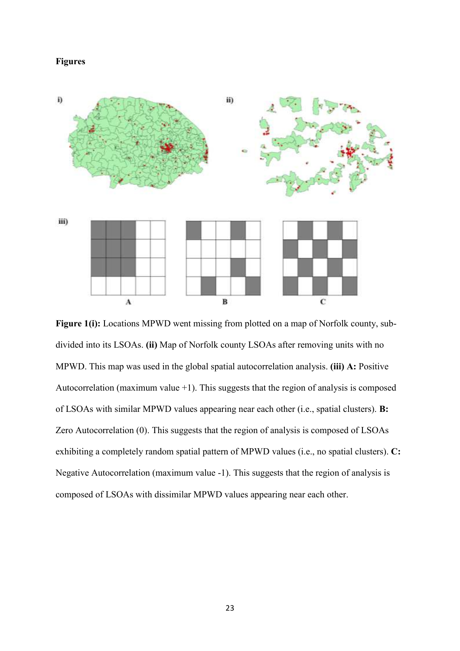#### **Figures**



Figure 1(i): Locations MPWD went missing from plotted on a map of Norfolk county, subdivided into its LSOAs. **(ii)** Map of Norfolk county LSOAs after removing units with no MPWD. This map was used in the global spatial autocorrelation analysis. **(iii) A:** Positive Autocorrelation (maximum value  $+1$ ). This suggests that the region of analysis is composed of LSOAs with similar MPWD values appearing near each other (i.e., spatial clusters). **B:** Zero Autocorrelation (0). This suggests that the region of analysis is composed of LSOAs exhibiting a completely random spatial pattern of MPWD values (i.e., no spatial clusters). **C:** Negative Autocorrelation (maximum value -1). This suggests that the region of analysis is composed of LSOAs with dissimilar MPWD values appearing near each other.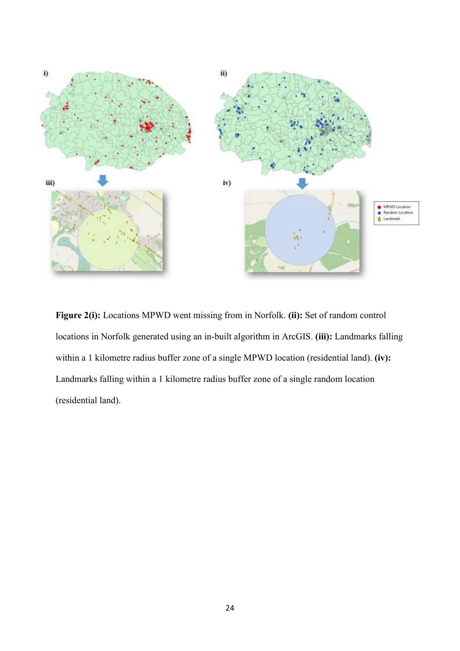

**Figure 2(i):** Locations MPWD went missing from in Norfolk. **(ii):** Set of random control locations in Norfolk generated using an in-built algorithm in ArcGIS. **(iii):** Landmarks falling within a 1 kilometre radius buffer zone of a single MPWD location (residential land). **(iv):** Landmarks falling within a 1 kilometre radius buffer zone of a single random location (residential land).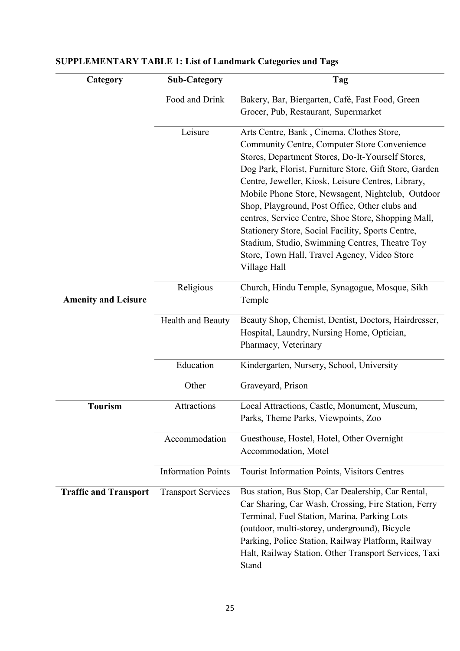| Category                     | <b>Sub-Category</b>       | Tag                                                                                                                                                                                                                                                                                                                                                                                                                                                                                                                                                                                                 |
|------------------------------|---------------------------|-----------------------------------------------------------------------------------------------------------------------------------------------------------------------------------------------------------------------------------------------------------------------------------------------------------------------------------------------------------------------------------------------------------------------------------------------------------------------------------------------------------------------------------------------------------------------------------------------------|
|                              | Food and Drink            | Bakery, Bar, Biergarten, Café, Fast Food, Green<br>Grocer, Pub, Restaurant, Supermarket                                                                                                                                                                                                                                                                                                                                                                                                                                                                                                             |
|                              | Leisure                   | Arts Centre, Bank, Cinema, Clothes Store,<br>Community Centre, Computer Store Convenience<br>Stores, Department Stores, Do-It-Yourself Stores,<br>Dog Park, Florist, Furniture Store, Gift Store, Garden<br>Centre, Jeweller, Kiosk, Leisure Centres, Library,<br>Mobile Phone Store, Newsagent, Nightclub, Outdoor<br>Shop, Playground, Post Office, Other clubs and<br>centres, Service Centre, Shoe Store, Shopping Mall,<br>Stationery Store, Social Facility, Sports Centre,<br>Stadium, Studio, Swimming Centres, Theatre Toy<br>Store, Town Hall, Travel Agency, Video Store<br>Village Hall |
| <b>Amenity and Leisure</b>   | Religious                 | Church, Hindu Temple, Synagogue, Mosque, Sikh<br>Temple                                                                                                                                                                                                                                                                                                                                                                                                                                                                                                                                             |
|                              | Health and Beauty         | Beauty Shop, Chemist, Dentist, Doctors, Hairdresser,<br>Hospital, Laundry, Nursing Home, Optician,<br>Pharmacy, Veterinary                                                                                                                                                                                                                                                                                                                                                                                                                                                                          |
|                              | Education                 | Kindergarten, Nursery, School, University                                                                                                                                                                                                                                                                                                                                                                                                                                                                                                                                                           |
|                              | Other                     | Graveyard, Prison                                                                                                                                                                                                                                                                                                                                                                                                                                                                                                                                                                                   |
| <b>Tourism</b>               | Attractions               | Local Attractions, Castle, Monument, Museum,<br>Parks, Theme Parks, Viewpoints, Zoo                                                                                                                                                                                                                                                                                                                                                                                                                                                                                                                 |
|                              | Accommodation             | Guesthouse, Hostel, Hotel, Other Overnight<br>Accommodation, Motel                                                                                                                                                                                                                                                                                                                                                                                                                                                                                                                                  |
|                              | <b>Information Points</b> | Tourist Information Points, Visitors Centres                                                                                                                                                                                                                                                                                                                                                                                                                                                                                                                                                        |
| <b>Traffic and Transport</b> | <b>Transport Services</b> | Bus station, Bus Stop, Car Dealership, Car Rental,<br>Car Sharing, Car Wash, Crossing, Fire Station, Ferry<br>Terminal, Fuel Station, Marina, Parking Lots<br>(outdoor, multi-storey, underground), Bicycle<br>Parking, Police Station, Railway Platform, Railway<br>Halt, Railway Station, Other Transport Services, Taxi<br>Stand                                                                                                                                                                                                                                                                 |

# **SUPPLEMENTARY TABLE 1: List of Landmark Categories and Tags**